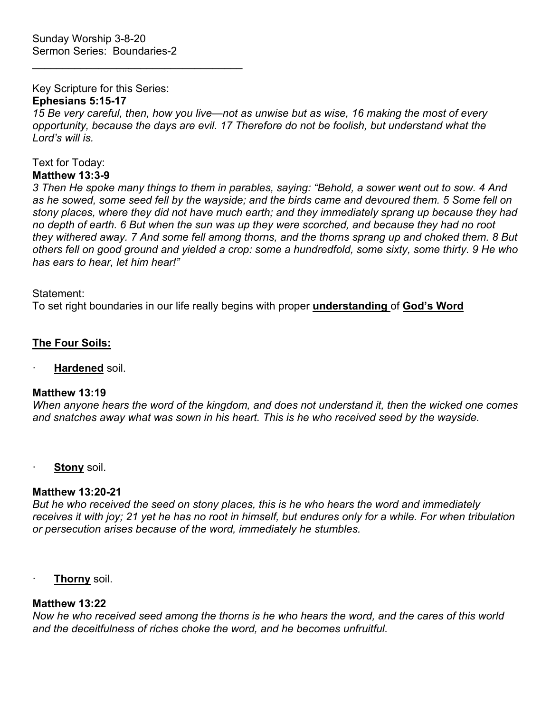$\mathcal{L}_\text{max}$  , and the set of the set of the set of the set of the set of the set of the set of the set of the set of the set of the set of the set of the set of the set of the set of the set of the set of the set of the

Key Scripture for this Series:

## **Ephesians 5:15-17**

*15 Be very careful, then, how you live—not as unwise but as wise, 16 making the most of every opportunity, because the days are evil. 17 Therefore do not be foolish, but understand what the Lord's will is.*

#### Text for Today: **Matthew 13:3-9**

*3 Then He spoke many things to them in parables, saying: "Behold, a sower went out to sow. 4 And as he sowed, some seed fell by the wayside; and the birds came and devoured them. 5 Some fell on stony places, where they did not have much earth; and they immediately sprang up because they had no depth of earth. 6 But when the sun was up they were scorched, and because they had no root they withered away. 7 And some fell among thorns, and the thorns sprang up and choked them. 8 But others fell on good ground and yielded a crop: some a hundredfold, some sixty, some thirty. 9 He who has ears to hear, let him hear!"*

Statement:

To set right boundaries in our life really begins with proper **understanding** of **God's Word**

# **The Four Soils:**

· **Hardened** soil.

### **Matthew 13:19**

*When anyone hears the word of the kingdom, and does not understand it, then the wicked one comes and snatches away what was sown in his heart. This is he who received seed by the wayside.*

· **Stony** soil.

# **Matthew 13:20-21**

*But he who received the seed on stony places, this is he who hears the word and immediately receives it with joy; 21 yet he has no root in himself, but endures only for a while. For when tribulation or persecution arises because of the word, immediately he stumbles.*

· **Thorny** soil.

# **Matthew 13:22**

*Now he who received seed among the thorns is he who hears the word, and the cares of this world and the deceitfulness of riches choke the word, and he becomes unfruitful.*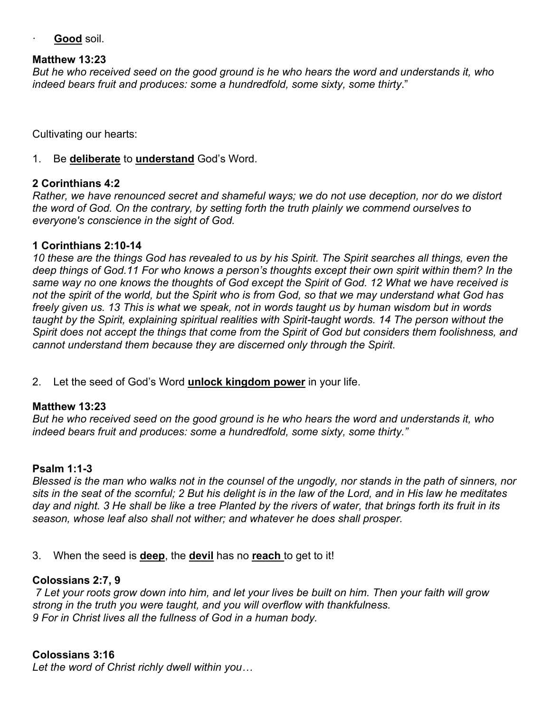Good soil.

#### **Matthew 13:23**

*But he who received seed on the good ground is he who hears the word and understands it, who indeed bears fruit and produces: some a hundredfold, some sixty, some thirty*."

Cultivating our hearts:

1. Be **deliberate** to **understand** God's Word.

### **2 Corinthians 4:2**

*Rather, we have renounced secret and shameful ways; we do not use deception, nor do we distort the word of God. On the contrary, by setting forth the truth plainly we commend ourselves to everyone's conscience in the sight of God.*

#### **1 Corinthians 2:10-14**

*10 these are the things God has revealed to us by his Spirit. The Spirit searches all things, even the deep things of God.11 For who knows a person's thoughts except their own spirit within them? In the same way no one knows the thoughts of God except the Spirit of God. 12 What we have received is not the spirit of the world, but the Spirit who is from God, so that we may understand what God has freely given us. 13 This is what we speak, not in words taught us by human wisdom but in words taught by the Spirit, explaining spiritual realities with Spirit-taught words. 14 The person without the Spirit does not accept the things that come from the Spirit of God but considers them foolishness, and cannot understand them because they are discerned only through the Spirit.*

### 2. Let the seed of God's Word **unlock kingdom power** in your life.

#### **Matthew 13:23**

*But he who received seed on the good ground is he who hears the word and understands it, who indeed bears fruit and produces: some a hundredfold, some sixty, some thirty."*

### **Psalm 1:1-3**

*Blessed is the man who walks not in the counsel of the ungodly, nor stands in the path of sinners, nor sits in the seat of the scornful; 2 But his delight is in the law of the Lord, and in His law he meditates day and night. 3 He shall be like a tree Planted by the rivers of water, that brings forth its fruit in its season, whose leaf also shall not wither; and whatever he does shall prosper.*

### 3. When the seed is **deep**, the **devil** has no **reach** to get to it!

#### **Colossians 2:7, 9**

*7 Let your roots grow down into him, and let your lives be built on him. Then your faith will grow strong in the truth you were taught, and you will overflow with thankfulness. 9 For in Christ lives all the fullness of God in a human body.*

### **Colossians 3:16**

*Let the word of Christ richly dwell within you…*